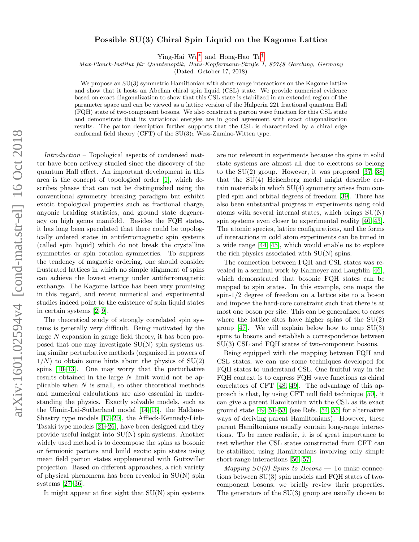## Possible SU(3) Chiral Spin Liquid on the Kagome Lattice

Ying-Hai Wu[∗](#page-3-0) and Hong-Hao Tu[†](#page-3-1)

Max-Planck-Institut für Quantenoptik, Hans-Kopfermann-Straße 1, 85748 Garching, Germany

(Dated: October 17, 2018)

We propose an  $SU(3)$  symmetric Hamiltonian with short-range interactions on the Kagome lattice and show that it hosts an Abelian chiral spin liquid (CSL) state. We provide numerical evidence based on exact diagonalization to show that this CSL state is stabilized in an extended region of the parameter space and can be viewed as a lattice version of the Halperin 221 fractional quantum Hall (FQH) state of two-component bosons. We also construct a parton wave function for this CSL state and demonstrate that its variational energies are in good agreement with exact diagonalization results. The parton description further supports that the CSL is characterized by a chiral edge conformal field theory (CFT) of the  $SU(3)_1$  Wess-Zumino-Witten type.

Introduction – Topological aspects of condensed matter have been actively studied since the discovery of the quantum Hall effect. An important development in this area is the concept of topological order [\[1\]](#page-3-2), which describes phases that can not be distinguished using the conventional symmetry breaking paradigm but exhibit exotic topological properties such as fractional charge, anyonic braiding statistics, and ground state degeneracy on high genus manifold. Besides the FQH states, it has long been speculated that there could be topologically ordered states in antiferromagnetic spin systems (called spin liquid) which do not break the crystalline symmetries or spin rotation symmetries. To suppress the tendency of magnetic ordering, one should consider frustrated lattices in which no simple alignment of spins can achieve the lowest energy under antiferromagnetic exchange. The Kagome lattice has been very promising in this regard, and recent numerical and experimental studies indeed point to the existence of spin liquid states in certain systems [\[2–](#page-3-3)[9\]](#page-4-0).

The theoretical study of strongly correlated spin systems is generally very difficult. Being motivated by the large N expansion in gauge field theory, it has been proposed that one may investigate SU(N) spin systems using similar perturbative methods (organized in powers of  $1/N$ ) to obtain some hints about the physics of  $SU(2)$ spins [\[10–](#page-4-1)[13\]](#page-4-2). One may worry that the perturbative results obtained in the large N limit would not be applicable when  $N$  is small, so other theoretical methods and numerical calculations are also essential in understanding the physics. Exactly solvable models, such as the Uimin-Lai-Sutherland model [\[14–](#page-4-3)[16\]](#page-4-4), the Haldane-Shastry type models [\[17](#page-4-5)[–20\]](#page-4-6), the Affleck-Kennedy-Lieb-Tasaki type models [\[21–](#page-4-7)[26\]](#page-4-8), have been designed and they provide useful insight into SU(N) spin systems. Another widely used method is to decompose the spins as bosonic or fermionic partons and build exotic spin states using mean field parton states supplemented with Gutzwiller projection. Based on different approaches, a rich variety of physical phenomena has been revealed in SU(N) spin systems [\[27–](#page-4-9)[36\]](#page-4-10).

It might appear at first sight that SU(N) spin systems

are not relevant in experiments because the spins in solid state systems are almost all due to electrons so belong to the  $SU(2)$  group. However, it was proposed [\[37,](#page-4-11) [38\]](#page-4-12) that the SU(4) Heisenberg model might describe certain materials in which  $SU(4)$  symmetry arises from coupled spin and orbital degrees of freedom [\[39\]](#page-4-13). There has also been substantial progress in experiments using cold atoms with several internal states, which brings SU(N) spin systems even closer to experimental reality [\[40–](#page-4-14)[43\]](#page-4-15). The atomic species, lattice configurations, and the forms of interactions in cold atom experiments can be tuned in a wide range [\[44,](#page-4-16) [45\]](#page-4-17), which would enable us to explore the rich physics associated with SU(N) spins.

The connection between FQH and CSL states was revealed in a seminal work by Kalmeyer and Laughlin [\[46\]](#page-4-18), which demonstrated that bosonic FQH states can be mapped to spin states. In this example, one maps the spin-1/2 degree of freedom on a lattice site to a boson and impose the hard-core constraint such that there is at most one boson per site. This can be generalized to cases where the lattice sites have higher spins of the  $SU(2)$ group [\[47\]](#page-4-19). We will explain below how to map  $SU(3)$ spins to bosons and establish a correspondence between SU(3) CSL and FQH states of two-component bosons.

Being equipped with the mapping between FQH and CSL states, we can use some techniques developed for FQH states to understand CSL. One fruitful way in the FQH context is to express FQH wave functions as chiral correlators of CFT [\[48,](#page-4-20) [49\]](#page-4-21). The advantage of this approach is that, by using CFT null field technique [\[50\]](#page-4-22), it can give a parent Hamiltonian with the CSL as its exact ground state [\[49,](#page-4-21) [51–](#page-4-23)[53\]](#page-4-24) (see Refs. [\[54,](#page-4-25) [55\]](#page-4-26) for alternative ways of deriving parent Hamiltonians). However, these parent Hamiltonians usually contain long-range interactions. To be more realistic, it is of great importance to test whether the CSL states constructed from CFT can be stabilized using Hamiltonians involving only simple short-range interactions [\[56,](#page-4-27) [57\]](#page-4-28).

Mapping  $SU(3)$  Spins to Bosons — To make connections between SU(3) spin models and FQH states of twocomponent bosons, we briefly review their properties. The generators of the SU(3) group are usually chosen to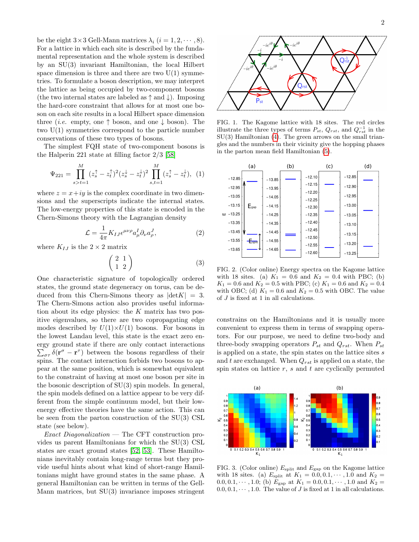be the eight  $3\times 3$  Gell-Mann matrices  $\lambda_i$   $(i = 1, 2, \dots, 8)$ . For a lattice in which each site is described by the fundamental representation and the whole system is described by an SU(3) invariant Hamiltonian, the local Hilbert space dimension is three and there are two  $U(1)$  symmetries. To formulate a boson description, we may interpret the lattice as being occupied by two-component bosons (the two internal states are labeled as  $\uparrow$  and  $\downarrow$ ). Imposing the hard-core constraint that allows for at most one boson on each site results in a local Hilbert space dimension three (*i.e.* empty, one  $\uparrow$  boson, and one  $\downarrow$  boson). The two U(1) symmetries correspond to the particle number conservations of these two types of bosons.

The simplest FQH state of two-component bosons is the Halperin 221 state at filling factor 2/3 [\[58\]](#page-4-29)

$$
\Psi_{221} = \prod_{s>t=1}^{M} (z_s^{\uparrow} - z_t^{\uparrow})^2 (z_s^{\downarrow} - z_t^{\downarrow})^2 \prod_{s,t=1}^{M} (z_s^{\uparrow} - z_t^{\downarrow}), \tag{1}
$$

where  $z = x + iy$  is the complex coordinate in two dimensions and the superscripts indicate the internal states. The low-energy properties of this state is encoded in the Chern-Simons theory with the Lagrangian density

$$
\mathcal{L} = \frac{1}{4\pi} K_{IJ} \epsilon^{\mu\nu\rho} a^I_{\mu} \partial_{\nu} a^J_{\rho}, \tag{2}
$$

where  $K_{IJ}$  is the  $2 \times 2$  matrix

$$
\left(\begin{array}{cc} 2 & 1 \\ 1 & 2 \end{array}\right) \tag{3}
$$

One characteristic signature of topologically ordered states, the ground state degeneracy on torus, can be deduced from this Chern-Simons theory as  $|\text{det}K| = 3$ . The Chern-Simons action also provides useful information about its edge physics: the  $K$  matrix has two positive eigenvalues, so there are two copropagating edge modes described by  $U(1)\times U(1)$  bosons. For bosons in the lowest Landau level, this state is the exact zero energy ground state if there are only contact interactions  $\sum_{\sigma\tau} \delta(\mathbf{r}^{\sigma} - \mathbf{r}^{\tau})$  between the bosons regardless of their spins. The contact interaction forbids two bosons to appear at the same position, which is somewhat equivalent to the constraint of having at most one boson per site in the bosonic description of SU(3) spin models. In general, the spin models defined on a lattice appear to be very different from the simple continuum model, but their lowenergy effective theories have the same action. This can be seen from the parton construction of the SU(3) CSL state (see below).

 $Exact\ Diagonalization$  — The CFT construction provides us parent Hamiltonians for which the SU(3) CSL states are exact ground states [\[52,](#page-4-30) [53\]](#page-4-24). These Hamiltonians inevitably contain long-range terms but they provide useful hints about what kind of short-range Hamiltonians might have ground states in the same phase. A general Hamiltonian can be written in terms of the Gell-Mann matrices, but SU(3) invariance imposes stringent



<span id="page-1-0"></span>FIG. 1. The Kagome lattice with 18 sites. The red circles illustrate the three types of terms  $P_{st}$ ,  $Q_{rst}$ , and  $Q_{rst}^{-1}$  in the  $SU(3)$  Hamiltonian  $(4)$ . The green arrows on the small triangles and the numbers in their vicinity give the hopping phases in the parton mean field Hamiltonian [\(5\)](#page-2-1).



<span id="page-1-1"></span>FIG. 2. (Color online) Energy spectra on the Kagome lattice with 18 sites. (a)  $K_1 = 0.6$  and  $K_2 = 0.4$  with PBC; (b)  $K_1 = 0.6$  and  $K_2 = 0.5$  with PBC; (c)  $K_1 = 0.6$  and  $K_2 = 0.4$ with OBC; (d)  $K_1 = 0.6$  and  $K_2 = 0.5$  with OBC. The value of J is fixed at 1 in all calculations.

constrains on the Hamiltonians and it is usually more convenient to express them in terms of swapping operators. For our purpose, we need to define two-body and three-body swapping operators  $P_{st}$  and  $Q_{rst}$ . When  $P_{st}$ is applied on a state, the spin states on the lattice sites  $s$ and t are exchanged. When  $Q_{rst}$  is applied on a state, the spin states on lattice  $r$ ,  $s$  and  $t$  are cyclically permuted



<span id="page-1-2"></span>FIG. 3. (Color online)  $E_{\text{split}}$  and  $E_{\text{gap}}$  on the Kagome lattice with 18 sites. (a)  $E_{\text{split}}$  at  $K_1 = 0.0, 0.1, \dots, 1.0$  and  $K_2 =$ 0.0, 0.1,  $\cdots$ , 1.0; (b)  $E_{\text{gap}}$  at  $K_1 = 0.0, 0.1, \cdots, 1.0$  and  $K_2 =$  $0.0, 0.1, \dots, 1.0$ . The value of J is fixed at 1 in all calculations.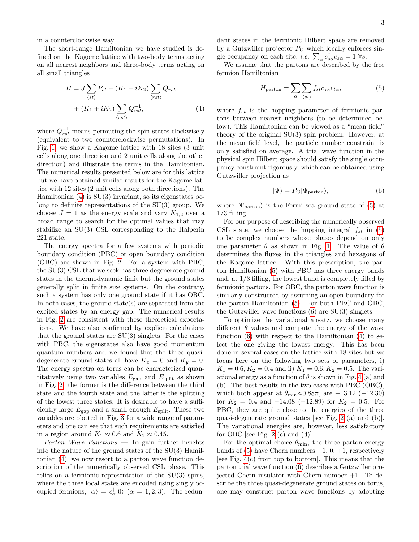in a counterclockwise way.

The short-range Hamiltonian we have studied is defined on the Kagome lattice with two-body terms acting on all nearest neighbors and three-body terms acting on all small triangles

<span id="page-2-0"></span>
$$
H = J \sum_{\langle st \rangle} P_{st} + (K_1 - iK_2) \sum_{\langle rst \rangle} Q_{rst} + (K_1 + iK_2) \sum_{\langle rst \rangle} Q_{rst}^{-1},
$$
\n(4)

where  $Q_{rst}^{-1}$  means permuting the spin states clockwisely (equivalent to two counterclockwise permutations). In Fig. [1,](#page-1-0) we show a Kagome lattice with 18 sites (3 unit cells along one direction and 2 unit cells along the other direction) and illustrate the terms in the Hamiltonian. The numerical results presented below are for this lattice but we have obtained similar results for the Kagome lattice with 12 sites (2 unit cells along both directions). The Hamiltonian  $(4)$  is  $SU(3)$  invariant, so its eigenstates belong to definite representations of the SU(3) group. We choose  $J = 1$  as the energy scale and vary  $K_{1,2}$  over a broad range to search for the optimal values that may stabilize an SU(3) CSL corresponding to the Halperin 221 state.

The energy spectra for a few systems with periodic boundary condition (PBC) or open boundary condition (OBC) are shown in Fig. [2.](#page-1-1) For a system with PBC, the SU(3) CSL that we seek has three degenerate ground states in the thermodynamic limit but the ground states generally split in finite size systems. On the contrary, such a system has only one ground state if it has OBC. In both cases, the ground state(s) are separated from the excited states by an energy gap. The numerical results in Fig. [2](#page-1-1) are consistent with these theoretical expectations. We have also confirmed by explicit calculations that the ground states are  $SU(3)$  singlets. For the cases with PBC, the eigenstates also have good momentum quantum numbers and we found that the three quasidegenerate ground states all have  $K_x = 0$  and  $K_y = 0$ . The energy spectra on torus can be characterized quantitatively using two variables  $E_{\text{gap}}$  and  $E_{\text{split}}$  as shown in Fig. [2:](#page-1-1) the former is the difference between the third state and the fourth state and the latter is the splitting of the lowest three states. It is desirable to have a sufficiently large  $E_{\text{gap}}$  and a small enough  $E_{\text{split}}$ . These two variables are plotted in Fig. [3](#page-1-2) for a wide range of parameters and one can see that such requirements are satisfied in a region around  $K_1 \approx 0.6$  and  $K_2 \approx 0.45$ .

*Parton Wave Functions* — To gain further insights into the nature of the ground states of the SU(3) Hamiltonian [\(4\)](#page-2-0), we now resort to a parton wave function description of the numerically observed CSL phase. This relies on a fermionic representation of the SU(3) spins, where the three local states are encoded using singly occupied fermions,  $|\alpha\rangle = c_{\alpha}^{\dagger} |0\rangle$  ( $\alpha = 1, 2, 3$ ). The redundant states in the fermionic Hilbert space are removed by a Gutzwiller projector  $P_G$  which locally enforces single occupancy on each site, *i.e.*  $\sum_{\alpha} c_{s\alpha}^{\dagger} c_{s\alpha} = 1 \ \forall s$ .

We assume that the partons are described by the free fermion Hamiltonian

<span id="page-2-1"></span>
$$
H_{\text{parton}} = \sum_{\alpha} \sum_{\langle st \rangle} f_{st} c_{s\alpha}^{\dagger} c_{t\alpha},\tag{5}
$$

where  $f_{st}$  is the hopping parameter of fermionic partons between nearest neighbors (to be determined below). This Hamiltonian can be viewed as a "mean field" theory of the original SU(3) spin problem. However, at the mean field level, the particle number constraint is only satisfied on average. A trial wave function in the physical spin Hilbert space should satisfy the single occupancy constraint rigorously, which can be obtained using Gutzwiller projection as

<span id="page-2-2"></span>
$$
|\Psi\rangle = P_{\rm G}|\Psi_{\rm parton}\rangle,\tag{6}
$$

where  $|\Psi_{\text{parton}}\rangle$  is the Fermi sea ground state of [\(5\)](#page-2-1) at  $1/3$  filling.

For our purpose of describing the numerically observed CSL state, we choose the hopping integral  $f_{st}$  in [\(5\)](#page-2-1) to be complex numbers whose phases depend on only one parameter  $\theta$  as shown in Fig. [1.](#page-1-0) The value of  $\theta$ determines the fluxes in the triangles and hexagons of the Kagome lattice. With this prescription, the parton Hamiltonian [\(5\)](#page-2-1) with PBC has three energy bands and, at 1/3 filling, the lowest band is completely filled by fermionic partons. For OBC, the parton wave function is similarly constructed by assuming an open boundary for the parton Hamiltonian [\(5\)](#page-2-1). For both PBC and OBC, the Gutzwiller wave functions [\(6\)](#page-2-2) are SU(3) singlets.

To optimize the variational ansatz, we choose many different  $\theta$  values and compute the energy of the wave function [\(6\)](#page-2-2) with respect to the Hamiltonian [\(4\)](#page-2-0) to select the one giving the lowest energy. This has been done in several cases on the lattice with 18 sites but we focus here on the following two sets of parameters, i)  $K_1 = 0.6, K_2 = 0.4$  and ii)  $K_1 = 0.6, K_2 = 0.5$ . The variational energy as a function of  $\theta$  is shown in Fig. [4](#page-3-4) (a) and (b). The best results in the two cases with PBC (OBC), which both appear at  $\theta_{\min} \approx 0.88\pi$ , are  $-13.12$  (-12.30) for  $K_2 = 0.4$  and  $-14.08$  (-12.89) for  $K_2 = 0.5$ . For PBC, they are quite close to the energies of the three quasi-degenerate ground states [see Fig. [2](#page-1-1) (a) and (b)]. The variational energies are, however, less satisfactory for OBC [see Fig. [2](#page-1-1) (c) and  $(d)$ ].

For the optimal choice  $\theta_{\min}$ , the three parton energy bands of [\(5\)](#page-2-1) have Chern numbers  $-1$ , 0,  $+1$ , respectively [see Fig. [4\(](#page-3-4)c) from top to bottom]. This means that the parton trial wave function [\(6\)](#page-2-2) describes a Gutzwiller projected Chern insulator with Chern number  $+1$ . To describe the three quasi-degenerate ground states on torus, one may construct parton wave functions by adopting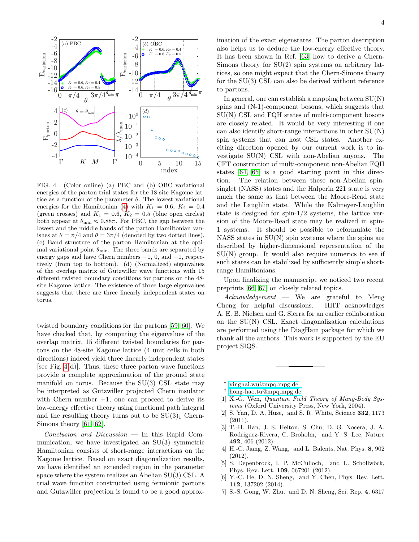

<span id="page-3-4"></span>FIG. 4. (Color online) (a) PBC and (b) OBC variational energies of the parton trial states for the 18-site Kagome lattice as a function of the parameter  $\theta$ . The lowest variational energies for the Hamiltonian [\(4\)](#page-2-0) with  $K_1 = 0.6, K_2 = 0.4$ (green crosses) and  $K_1 = 0.6$ ,  $K_2 = 0.5$  (blue open circles) both appear at  $\theta_{\min} \approx 0.88\pi$ . For PBC, the gap between the lowest and the middle bands of the parton Hamiltonian vanishes at  $\theta = \pi/4$  and  $\theta = 3\pi/4$  (denoted by two dotted lines). (c) Band structure of the parton Hamiltonian at the optimal variational point  $\theta_{\min}$ . The three bands are separated by energy gaps and have Chern numbers  $-1$ , 0, and  $+1$ , respectively (from top to bottom). (d) (Normalized) eigenvalues of the overlap matrix of Gutzwiller wave functions with 15 different twisted boundary conditions for partons on the 48 site Kagome lattice. The existence of three large eigenvalues suggests that there are three linearly independent states on torus.

twisted boundary conditions for the partons [\[59,](#page-4-31) [60\]](#page-4-32). We have checked that, by computing the eigenvalues of the overlap matrix, 15 different twisted boundaries for partons on the 48-site Kagome lattice (4 unit cells in both directions) indeed yield three linearly independent states [see Fig.  $4(d)$ ]. Thus, these three parton wave functions provide a complete approximation of the ground state manifold on torus. Because the SU(3) CSL state may be interpreted as Gutzwiller projected Chern insulator with Chern number  $+1$ , one can proceed to derive its low-energy effective theory using functional path integral and the resulting theory turns out to be  $SU(3)<sub>1</sub>$  Chern-Simons theory [\[61,](#page-4-33) [62\]](#page-4-34).

Conclusion and Discussion — In this Rapid Communication, we have investigated an SU(3) symmetric Hamiltonian consists of short-range interactions on the Kagome lattice. Based on exact diagonalization results, we have identified an extended region in the parameter space where the system realizes an Abelian SU(3) CSL. A trial wave function constructed using fermionic partons and Gutzwiller projection is found to be a good approximation of the exact eigenstates. The parton description also helps us to deduce the low-energy effective theory. It has been shown in Ref. [\[63\]](#page-4-35) how to derive a Chern-Simons theory for  $SU(2)$  spin systems on arbitrary lattices, so one might expect that the Chern-Simons theory for the SU(3) CSL can also be derived without reference to partons.

In general, one can establish a mapping between  $SU(N)$ spins and (N-1)-component bosons, which suggests that SU(N) CSL and FQH states of multi-component bosons are closely related. It would be very interesting if one can also identify short-range interactions in other SU(N) spin systems that can host CSL states. Another exciting direction opened by our current work is to investigate SU(N) CSL with non-Abelian anyons. The CFT construction of multi-component non-Abelian FQH states [\[64,](#page-4-36) [65\]](#page-4-37) is a good starting point in this direction. The relation between these non-Abelian spinsinglet (NASS) states and the Halperin 221 state is very much the same as that between the Moore-Read state and the Laughlin state. While the Kalmeyer-Laughlin state is designed for spin-1/2 systems, the lattice version of the Moore-Read state may be realized in spin-1 systems. It should be possible to reformulate the NASS states in  $SU(N)$  spin systems where the spins are described by higher-dimensional representation of the  $SU(N)$  group. It would also require numerics to see if such states can be stabilized by sufficiently simple shortrange Hamiltonians.

Upon finalizing the manuscript we noticed two recent preprints [\[66,](#page-4-38) [67\]](#page-4-39) on closely related topics.

 $Acknowledgement$  — We are grateful to Meng Cheng for helpful discussions. HHT acknowledges A. E. B. Nielsen and G. Sierra for an earlier collaboration on the SU(N) CSL. Exact diagonalization calculations are performed using the DiagHam package for which we thank all the authors. This work is supported by the EU project SIQS.

<span id="page-3-0"></span>∗ [yinghai.wu@mpq.mpg.de](mailto:yinghai.wu@mpq.mpg.de)

- <span id="page-3-1"></span>† [hong-hao.tu@mpq.mpg.de](mailto:hong-hao.tu@mpq.mpg.de)
- <span id="page-3-2"></span>[1] X.-G. Wen, *Quantum Field Theory of Many-Body Sys*tems (Oxford University Press, New York, 2004).
- <span id="page-3-3"></span>[2] S. Yan, D. A. Huse, and S. R. White, Science 332, 1173 (2011).
- [3] T.-H. Han, J. S. Helton, S. Chu, D. G. Nocera, J. A. Rodriguez-Rivera, C. Broholm, and Y. S. Lee, Nature 492, 406 (2012).
- [4] H.-C. Jiang, Z. Wang, and L. Balents, Nat. Phys. 8, 902 (2012).
- [5] S. Depenbrock, I. P. McCulloch, and U. Schollwöck, Phys. Rev. Lett. 109, 067201 (2012).
- [6] Y.-C. He, D. N. Sheng, and Y. Chen, Phys. Rev. Lett. 112, 137202 (2014).
- [7] S.-S. Gong, W. Zhu, and D. N. Sheng, Sci. Rep. 4, 6317